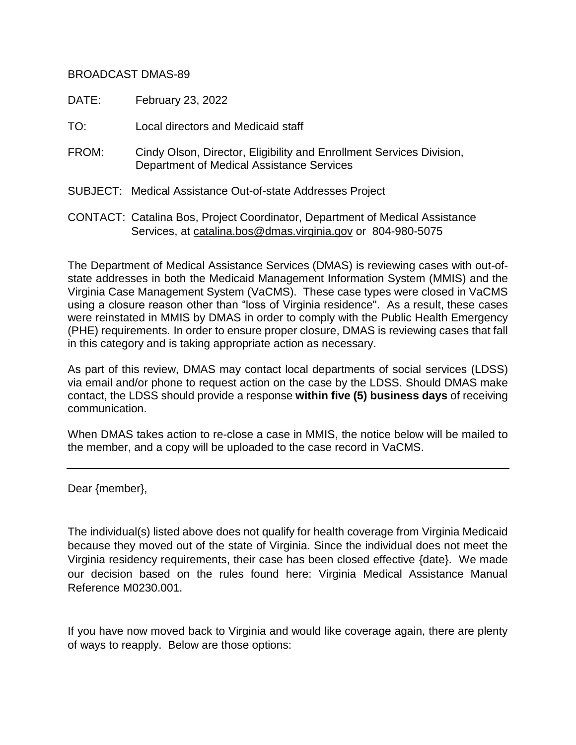## BROADCAST DMAS-89

DATE: February 23, 2022

TO: Local directors and Medicaid staff

- FROM: Cindy Olson, Director, Eligibility and Enrollment Services Division, Department of Medical Assistance Services
- SUBJECT: Medical Assistance Out-of-state Addresses Project
- CONTACT: Catalina Bos, Project Coordinator, Department of Medical Assistance Services, at [catalina.bos@dmas.virginia.gov](mailto:catalina.bos@dmas.virginia.gov) or 804-980-5075

The Department of Medical Assistance Services (DMAS) is reviewing cases with out-ofstate addresses in both the Medicaid Management Information System (MMIS) and the Virginia Case Management System (VaCMS). These case types were closed in VaCMS using a closure reason other than "loss of Virginia residence". As a result, these cases were reinstated in MMIS by DMAS in order to comply with the Public Health Emergency (PHE) requirements. In order to ensure proper closure, DMAS is reviewing cases that fall in this category and is taking appropriate action as necessary.

As part of this review, DMAS may contact local departments of social services (LDSS) via email and/or phone to request action on the case by the LDSS. Should DMAS make contact, the LDSS should provide a response **within five (5) business days** of receiving communication.

When DMAS takes action to re-close a case in MMIS, the notice below will be mailed to the member, and a copy will be uploaded to the case record in VaCMS.

Dear {member},

The individual(s) listed above does not qualify for health coverage from Virginia Medicaid because they moved out of the state of Virginia. Since the individual does not meet the Virginia residency requirements, their case has been closed effective {date}. We made our decision based on the rules found here: Virginia Medical Assistance Manual Reference M0230.001.

If you have now moved back to Virginia and would like coverage again, there are plenty of ways to reapply. Below are those options: